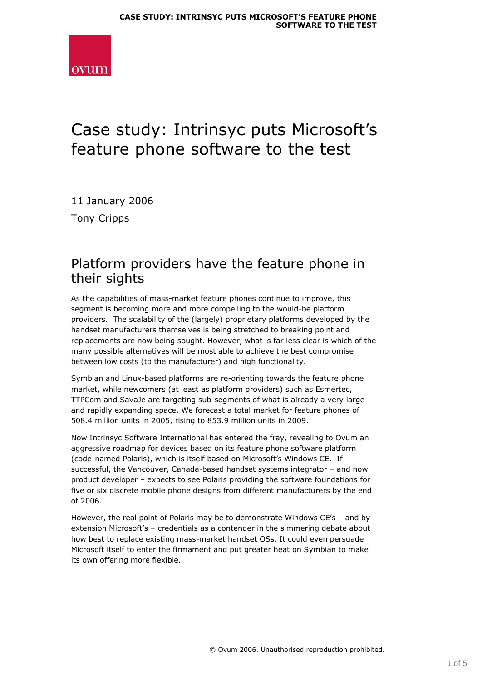

# Case study: Intrinsyc puts Microsoft's feature phone software to the test

11 January 2006 Tony Cripps

#### Platform providers have the feature phone in their sights

As the capabilities of mass-market feature phones continue to improve, this segment is becoming more and more compelling to the would-be platform providers. The scalability of the (largely) proprietary platforms developed by the handset manufacturers themselves is being stretched to breaking point and replacements are now being sought. However, what is far less clear is which of the many possible alternatives will be most able to achieve the best compromise between low costs (to the manufacturer) and high functionality.

Symbian and Linux-based platforms are re-orienting towards the feature phone market, while newcomers (at least as platform providers) such as Esmertec, TTPCom and SavaJe are targeting sub-segments of what is already a very large and rapidly expanding space. We forecast a total market for feature phones of 508.4 million units in 2005, rising to 853.9 million units in 2009.

Now Intrinsyc Software International has entered the fray, revealing to Ovum an aggressive roadmap for devices based on its feature phone software platform (code-named Polaris), which is itself based on Microsoft's Windows CE. If successful, the Vancouver, Canada-based handset systems integrator – and now product developer – expects to see Polaris providing the software foundations for five or six discrete mobile phone designs from different manufacturers by the end of 2006.

However, the real point of Polaris may be to demonstrate Windows CE's – and by extension Microsoft's – credentials as a contender in the simmering debate about how best to replace existing mass-market handset OSs. It could even persuade Microsoft itself to enter the firmament and put greater heat on Symbian to make its own offering more flexible.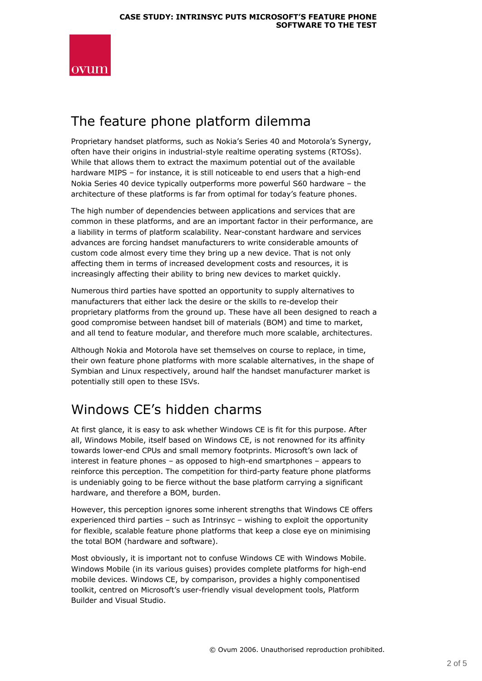

#### The feature phone platform dilemma

Proprietary handset platforms, such as Nokia's Series 40 and Motorola's Synergy, often have their origins in industrial-style realtime operating systems (RTOSs). While that allows them to extract the maximum potential out of the available hardware MIPS – for instance, it is still noticeable to end users that a high-end Nokia Series 40 device typically outperforms more powerful S60 hardware – the architecture of these platforms is far from optimal for today's feature phones.

The high number of dependencies between applications and services that are common in these platforms, and are an important factor in their performance, are a liability in terms of platform scalability. Near-constant hardware and services advances are forcing handset manufacturers to write considerable amounts of custom code almost every time they bring up a new device. That is not only affecting them in terms of increased development costs and resources, it is increasingly affecting their ability to bring new devices to market quickly.

Numerous third parties have spotted an opportunity to supply alternatives to manufacturers that either lack the desire or the skills to re-develop their proprietary platforms from the ground up. These have all been designed to reach a good compromise between handset bill of materials (BOM) and time to market, and all tend to feature modular, and therefore much more scalable, architectures.

Although Nokia and Motorola have set themselves on course to replace, in time, their own feature phone platforms with more scalable alternatives, in the shape of Symbian and Linux respectively, around half the handset manufacturer market is potentially still open to these ISVs.

## Windows CE's hidden charms

At first glance, it is easy to ask whether Windows CE is fit for this purpose. After all, Windows Mobile, itself based on Windows CE, is not renowned for its affinity towards lower-end CPUs and small memory footprints. Microsoft's own lack of interest in feature phones – as opposed to high-end smartphones – appears to reinforce this perception. The competition for third-party feature phone platforms is undeniably going to be fierce without the base platform carrying a significant hardware, and therefore a BOM, burden.

However, this perception ignores some inherent strengths that Windows CE offers experienced third parties – such as Intrinsyc – wishing to exploit the opportunity for flexible, scalable feature phone platforms that keep a close eye on minimising the total BOM (hardware and software).

Most obviously, it is important not to confuse Windows CE with Windows Mobile. Windows Mobile (in its various guises) provides complete platforms for high-end mobile devices. Windows CE, by comparison, provides a highly componentised toolkit, centred on Microsoft's user-friendly visual development tools, Platform Builder and Visual Studio.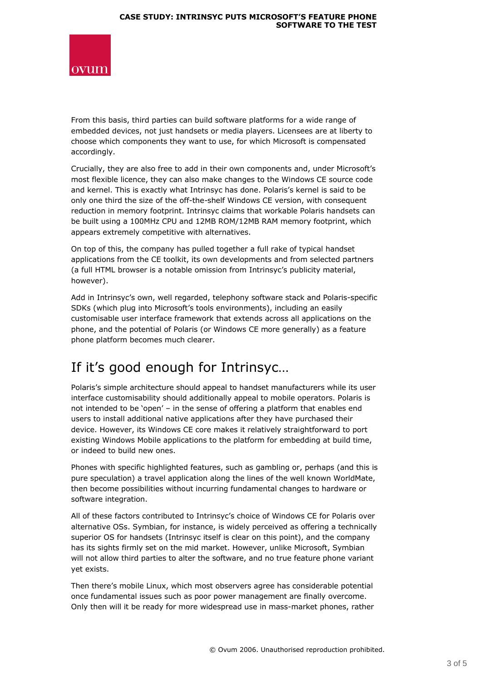

From this basis, third parties can build software platforms for a wide range of embedded devices, not just handsets or media players. Licensees are at liberty to choose which components they want to use, for which Microsoft is compensated accordingly.

Crucially, they are also free to add in their own components and, under Microsoft's most flexible licence, they can also make changes to the Windows CE source code and kernel. This is exactly what Intrinsyc has done. Polaris's kernel is said to be only one third the size of the off-the-shelf Windows CE version, with consequent reduction in memory footprint. Intrinsyc claims that workable Polaris handsets can be built using a 100MHz CPU and 12MB ROM/12MB RAM memory footprint, which appears extremely competitive with alternatives.

On top of this, the company has pulled together a full rake of typical handset applications from the CE toolkit, its own developments and from selected partners (a full HTML browser is a notable omission from Intrinsyc's publicity material, however).

Add in Intrinsyc's own, well regarded, telephony software stack and Polaris-specific SDKs (which plug into Microsoft's tools environments), including an easily customisable user interface framework that extends across all applications on the phone, and the potential of Polaris (or Windows CE more generally) as a feature phone platform becomes much clearer.

## If it's good enough for Intrinsyc…

Polaris's simple architecture should appeal to handset manufacturers while its user interface customisability should additionally appeal to mobile operators. Polaris is not intended to be 'open' – in the sense of offering a platform that enables end users to install additional native applications after they have purchased their device. However, its Windows CE core makes it relatively straightforward to port existing Windows Mobile applications to the platform for embedding at build time, or indeed to build new ones.

Phones with specific highlighted features, such as gambling or, perhaps (and this is pure speculation) a travel application along the lines of the well known WorldMate, then become possibilities without incurring fundamental changes to hardware or software integration.

All of these factors contributed to Intrinsyc's choice of Windows CE for Polaris over alternative OSs. Symbian, for instance, is widely perceived as offering a technically superior OS for handsets (Intrinsyc itself is clear on this point), and the company has its sights firmly set on the mid market. However, unlike Microsoft, Symbian will not allow third parties to alter the software, and no true feature phone variant yet exists.

Then there's mobile Linux, which most observers agree has considerable potential once fundamental issues such as poor power management are finally overcome. Only then will it be ready for more widespread use in mass-market phones, rather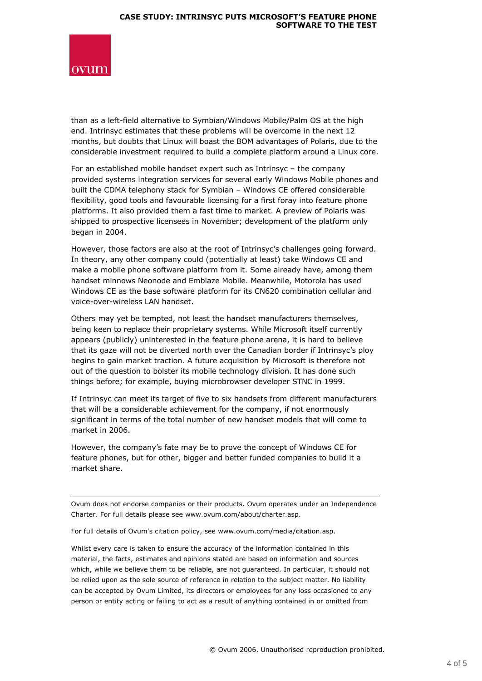

than as a left-field alternative to Symbian/Windows Mobile/Palm OS at the high end. Intrinsyc estimates that these problems will be overcome in the next 12 months, but doubts that Linux will boast the BOM advantages of Polaris, due to the considerable investment required to build a complete platform around a Linux core.

For an established mobile handset expert such as Intrinsyc – the company provided systems integration services for several early Windows Mobile phones and built the CDMA telephony stack for Symbian – Windows CE offered considerable flexibility, good tools and favourable licensing for a first foray into feature phone platforms. It also provided them a fast time to market. A preview of Polaris was shipped to prospective licensees in November; development of the platform only began in 2004.

However, those factors are also at the root of Intrinsyc's challenges going forward. In theory, any other company could (potentially at least) take Windows CE and make a mobile phone software platform from it. Some already have, among them handset minnows Neonode and Emblaze Mobile. Meanwhile, Motorola has used Windows CE as the base software platform for its CN620 combination cellular and voice-over-wireless LAN handset.

Others may yet be tempted, not least the handset manufacturers themselves, being keen to replace their proprietary systems. While Microsoft itself currently appears (publicly) uninterested in the feature phone arena, it is hard to believe that its gaze will not be diverted north over the Canadian border if Intrinsyc's ploy begins to gain market traction. A future acquisition by Microsoft is therefore not out of the question to bolster its mobile technology division. It has done such things before; for example, buying microbrowser developer STNC in 1999.

If Intrinsyc can meet its target of five to six handsets from different manufacturers that will be a considerable achievement for the company, if not enormously significant in terms of the total number of new handset models that will come to market in 2006.

However, the company's fate may be to prove the concept of Windows CE for feature phones, but for other, bigger and better funded companies to build it a market share.

Ovum does not endorse companies or their products. Ovum operates under an Independence Charter. For full details please see www.ovum.com/about/charter.asp.

For full details of Ovum's citation policy, see www.ovum.com/media/citation.asp.

Whilst every care is taken to ensure the accuracy of the information contained in this material, the facts, estimates and opinions stated are based on information and sources which, while we believe them to be reliable, are not guaranteed. In particular, it should not be relied upon as the sole source of reference in relation to the subject matter. No liability can be accepted by Ovum Limited, its directors or employees for any loss occasioned to any person or entity acting or failing to act as a result of anything contained in or omitted from